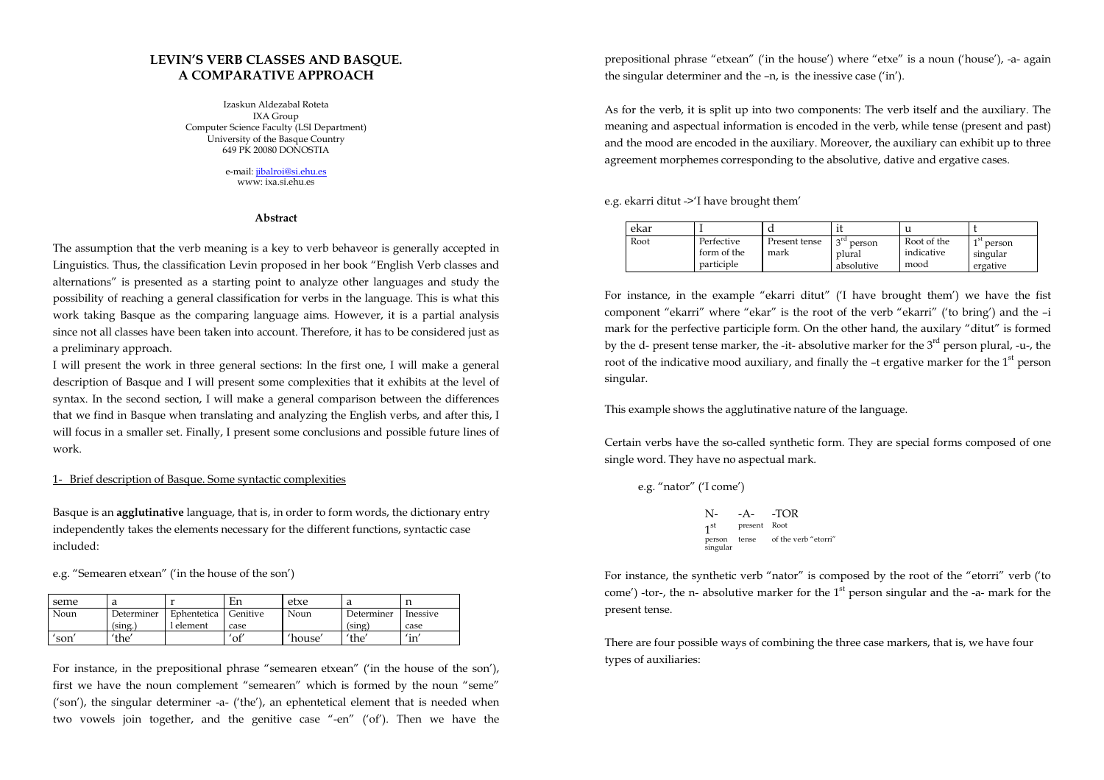# LEVIN'S VERB CLASSES AND BASQUE. A COMPARATIVE APPROACH

Izaskun Aldezabal Roteta IXA Group Computer Science Faculty (LSI Department) University of the Basque Country 649 PK 20080 DONOSTIA

> e-mail: jibalroi@si.ehu.eswww: ixa.si.ehu.es

### Abstract

The assumption that the verb meaning is a key to verb behaveor is generally accepted in Linguistics. Thus, the classification Levin proposed in her book "English Verb classes and alternations" is presented as a starting point to analyze other languages and study the possibility of reaching a general classification for verbs in the language. This is what this work taking Basque as the comparing language aims. However, it is a partial analysis since not all classes have been taken into account. Therefore, it has to be considered just as a preliminary approach.

I will present the work in three general sections: In the first one, I will make a general description of Basque and I will present some complexities that it exhibits at the level of syntax. In the second section, I will make a general comparison between the differences that we find in Basque when translating and analyzing the English verbs, and after this, I will focus in a smaller set. Finally, I present some conclusions and possible future lines of work.

## 1- Brief description of Basque. Some syntactic complexities

Basque is an agglutinative language, that is, in order to form words, the dictionary entry independently takes the elements necessary for the different functions, syntactic case included:

e.g. "Semearen etxean" ('in the house of the son')

| seme |            |             | En             | etxe    |            |                            |
|------|------------|-------------|----------------|---------|------------|----------------------------|
| Noun | Determiner | Ephentetica | Genitive       | Noun    | Determiner | Inessive                   |
|      | (sing.)    | 1 element   | case           |         | (sing)     | case                       |
| son  | 'the'      |             | $\mathrm{of}'$ | 'house' | 'the'      | $^{\prime}$ in $^{\prime}$ |

For instance, in the prepositional phrase "semearen etxean" ('in the house of the son'), first we have the noun complement "semearen" which is formed by the noun "seme" ('son'), the singular determiner -a- ('the'), an ephentetical element that is needed when two vowels join together, and the genitive case "-en" ('of'). Then we have the prepositional phrase "etxean" ('in the house') where "etxe" is a noun ('house'), -a- again the singular determiner and the –n, is the inessive case ('in').

As for the verb, it is split up into two components: The verb itself and the auxiliary. The meaning and aspectual information is encoded in the verb, while tense (present and past) and the mood are encoded in the auxiliary. Moreover, the auxiliary can exhibit up to three agreement morphemes corresponding to the absolutive, dative and ergative cases.

e.g. ekarri ditut ->'I have brought them'

| ekar |                                         | u                     |                                               |                                   |                                                   |
|------|-----------------------------------------|-----------------------|-----------------------------------------------|-----------------------------------|---------------------------------------------------|
| Root | Perfective<br>form of the<br>participle | Present tense<br>mark | $\alpha$ rd<br>person<br>plural<br>absolutive | Root of the<br>indicative<br>mood | <sub>1</sub> st<br>person<br>singular<br>ergative |

For instance, in the example "ekarri ditut" ('I have brought them') we have the fist componen<sup>t</sup>"ekarri" where "ekar" is the root of the verb "ekarri" ('to bring') and the –i mark for the perfective participle form. On the other hand, the auxilary "ditut" is formed by the d- present tense marker, the -it- absolutive marker for the  $3<sup>rd</sup>$  person plural, -u-, the root of the indicative mood auxiliary, and finally the  $-$ t ergative marker for the  $1<sup>st</sup>$  person singular.

This example shows the agglutinative nature of the language.

Certain verbs have the so-called synthetic form. They are special forms composed of one single word. They have no aspectual mark.

e.g. "nator" ('I come')

```
 N- -A- -TOR present Root
person tense of the verb "etorri" 
singular
```
For instance, the synthetic verb "nator" is composed by the root of the "etorri" verb ('to come') -tor-, the n- absolutive marker for the  $1<sup>st</sup>$  person singular and the -a- mark for the present tense.

There are four possible ways of combining the three case markers, that is, we have four types of auxiliaries: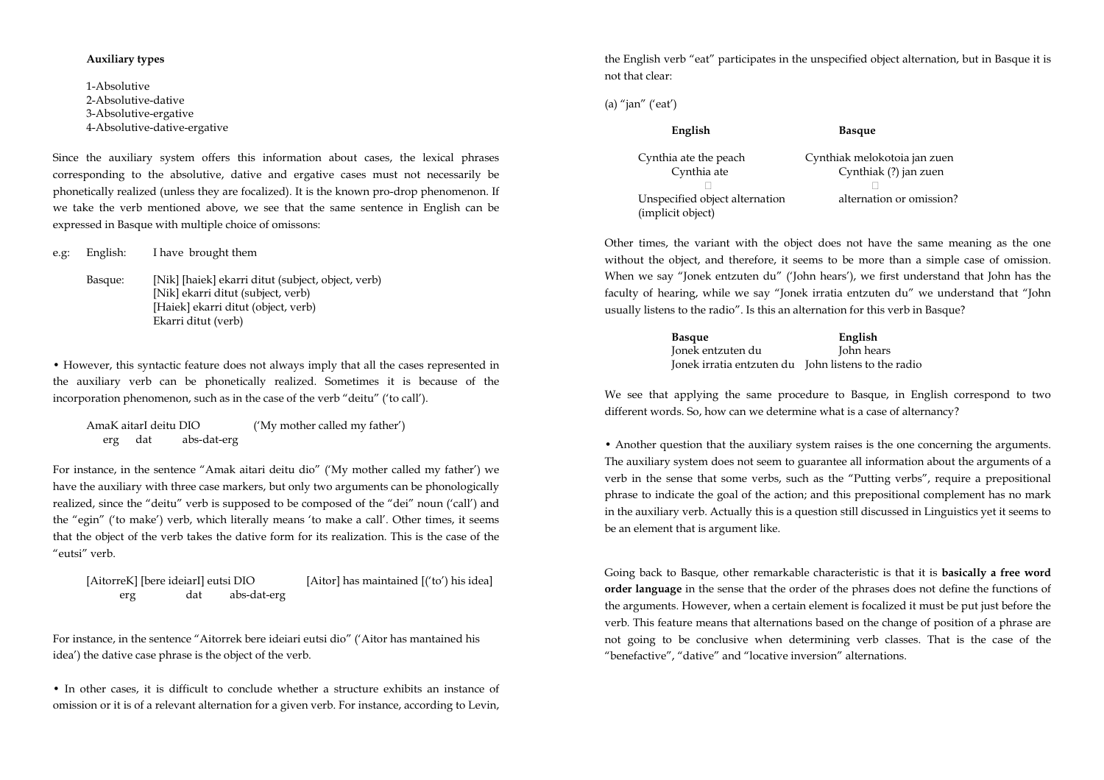## Auxiliary types

1-Absolutive 2-Absolutive-dative 3-Absolutive-ergative 4-Absolutive-dative-ergative

Since the auxiliary system offers this information about cases, the lexical phrases corresponding to the absolutive, dative and ergative cases must not necessarily be phonetically realized (unless they are focalized). It is the known pro-drop phenomenon. If we take the verb mentioned above, we see that the same sentence in English can be expressed in Basque with multiple choice of omissons:

e.g: English: I have brought them

Basque: [Nik] [haiek] ekarri ditut (subject, object, verb) [Nik] ekarri ditut (subject, verb) [Haiek] ekarri ditut (object, verb) Ekarri ditut (verb)

• However, this syntactic feature does not always imply that all the cases represented in the auxiliary verb can be phonetically realized. Sometimes it is because of the incorporation phenomenon, such as in the case of the verb "deitu" ('to call').

AmaK aitarI deitu DIO ('My mother called my father') erg dat abs-dat-erg

For instance, in the sentence "Amak aitari deitu dio" ('My mother called my father') we have the auxiliary with three case markers, but only two arguments can be phonologically realized, since the "deitu" verb is supposed to be composed of the "dei" noun ('call') and the "egin" ('to make') verb, which literally means 'to make a call'. Other times, it seems that the object of the verb takes the dative form for its realization. This is the case of the "eutsi" verb.

[AitorreK] [bere ideiarI] eutsi DIO [Aitor] has maintained [('to') his idea] erg dat abs-dat-erg

For instance, in the sentence "Aitorrek bere ideiari eutsi dio" ('Aitor has mantained his idea') the dative case phrase is the object of the verb.

• In other cases, it is difficult to conclude whether a structure exhibits an instance of omission or it is of a relevant alternation for a given verb. For instance, according to Levin, the English verb "eat" participates in the unspecified object alternation, but in Basque it is not that clear:

(a) "jan" ('eat')

| English                                             | <b>Basque</b>                                         |
|-----------------------------------------------------|-------------------------------------------------------|
| Cynthia ate the peach<br>Cynthia ate                | Cynthiak melokotoia jan zuen<br>Cynthiak (?) jan zuen |
| Unspecified object alternation<br>(implicit object) | alternation or omission?                              |

Other times, the variant with the object does not have the same meaning as the one without the object, and therefore, it seems to be more than a simple case of omission. When we say "Jonek entzuten du" ('John hears'), we first understand that John has the faculty of hearing, while we say "Jonek irratia entzuten du" we understand that "John usually listens to the radio". Is this an alternation for this verb in Basque?

| <b>Basque</b>                                       | English    |
|-----------------------------------------------------|------------|
| Jonek entzuten du                                   | John hears |
| Jonek irratia entzuten du John listens to the radio |            |

We see that applying the same procedure to Basque, in English correspond to two different words. So, how can we determine what is a case of alternancy?

• Another question that the auxiliary system raises is the one concerning the arguments. The auxiliary system does not seem to guarantee all information about the arguments of a verb in the sense that some verbs, such as the "Putting verbs", require a prepositional phrase to indicate the goal of the action; and this prepositional complement has no mark in the auxiliary verb. Actually this is a question still discussed in Linguistics yet it seems to be an element that is argument like.

Going back to Basque, other remarkable characteristic is that it is **basically a free word** order language in the sense that the order of the phrases does not define the functions of the arguments. However, when a certain element is focalized it must be put just before the verb. This feature means that alternations based on the change of position of a phrase are not going to be conclusive when determining verb classes. That is the case of the "benefactive", "dative" and "locative inversion" alternations.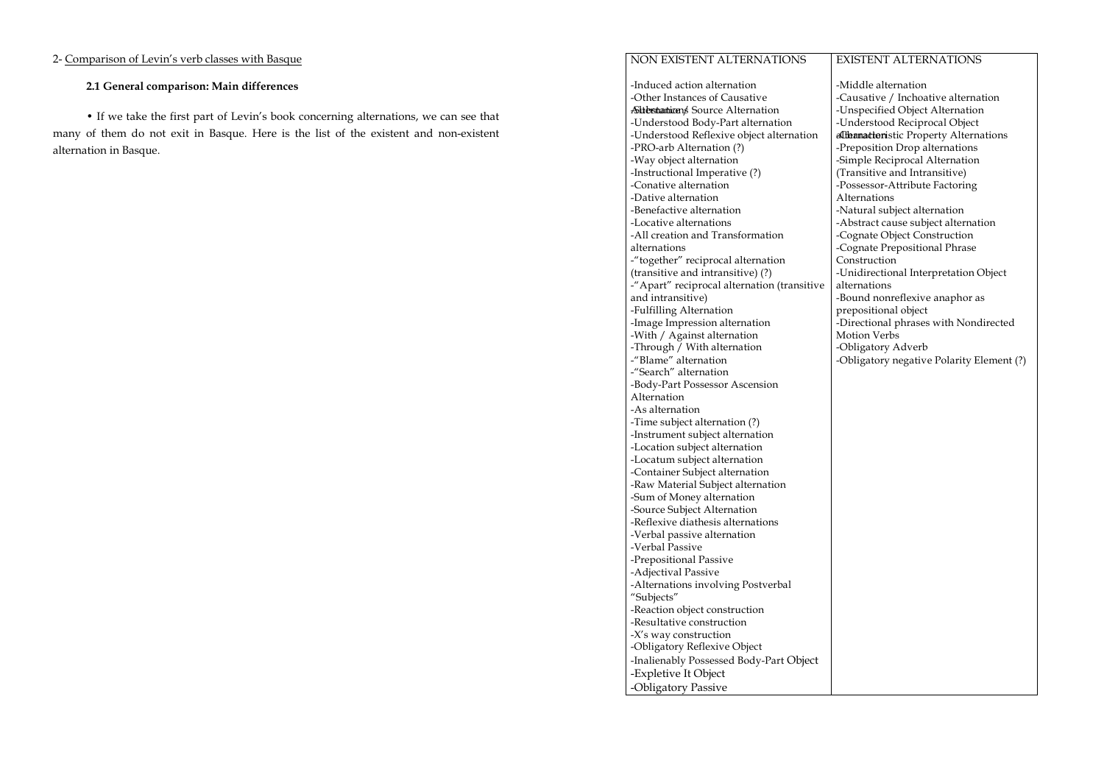## 2- Comparison of Levin's verb classes with Basque

# 2.1 General comparison: Main differences

• If we take the first part of Levin's book concerning alternations, we can see that many of them do not exit in Basque. Here is the list of the existent and non-existent alternation in Basque.

#### NON EXISTENT ALTERNATIONSEXISTENT ALTERNATIONS

-Induced action alternation -Other Instances of Causative Sitterstantions Source Alternation -Understood Body-Part alternation -Understood Reflexive object alternation -PRO-arb Alternation (?) -Way object alternation -Instructional Imperative (?) -Conative alternation -Dative alternation -Benefactive alternation -Locative alternations -All creation and Transformation alternations -"together" reciprocal alternation (transitive and intransitive) (?) -"Apart" reciprocal alternation (transitive and intransitive) -Fulfilling Alternation -Image Impression alternation -With / Against alternation -Through / With alternation -"Blame" alternation -"Search" alternation -Body-Part Possessor Ascension Alternation -As alternation -Time subject alternation (?) -Instrument subject alternation -Location subject alternation -Locatum subject alternation -Container Subject alternation -Raw Material Subject alternation -Sum of Money alternation -Source Subject Alternation -Reflexive diathesis alternations -Verbal passive alternation -Verbal Passive -Prepositional Passive -Adjectival Passive -Alternations involving Postverbal "Subjects" -Reaction object construction -Resultative construction -X's way construction -Obligatory Reflexive Object -Inalienably Possessed Body-Part Object -Expletive It Object -Obligatory Passive

-Middle alternation -Causative / Inchoative alternation -Unspecified Object Alternation -Understood Reciprocal Object althamatteristic Property Alternations -Preposition Drop alternations -Simple Reciprocal Alternation (Transitive and Intransitive) -Possessor-Attribute Factoring Alternations -Natural subject alternation -Abstract cause subject alternation -Cognate Object Construction -Cognate Prepositional Phrase Construction -Unidirectional Interpretation Object alternations -Bound nonreflexive anaphor as prepositional object -Directional phrases with Nondirected Motion Verbs -Obligatory Adverb -Obligatory negative Polarity Element (?)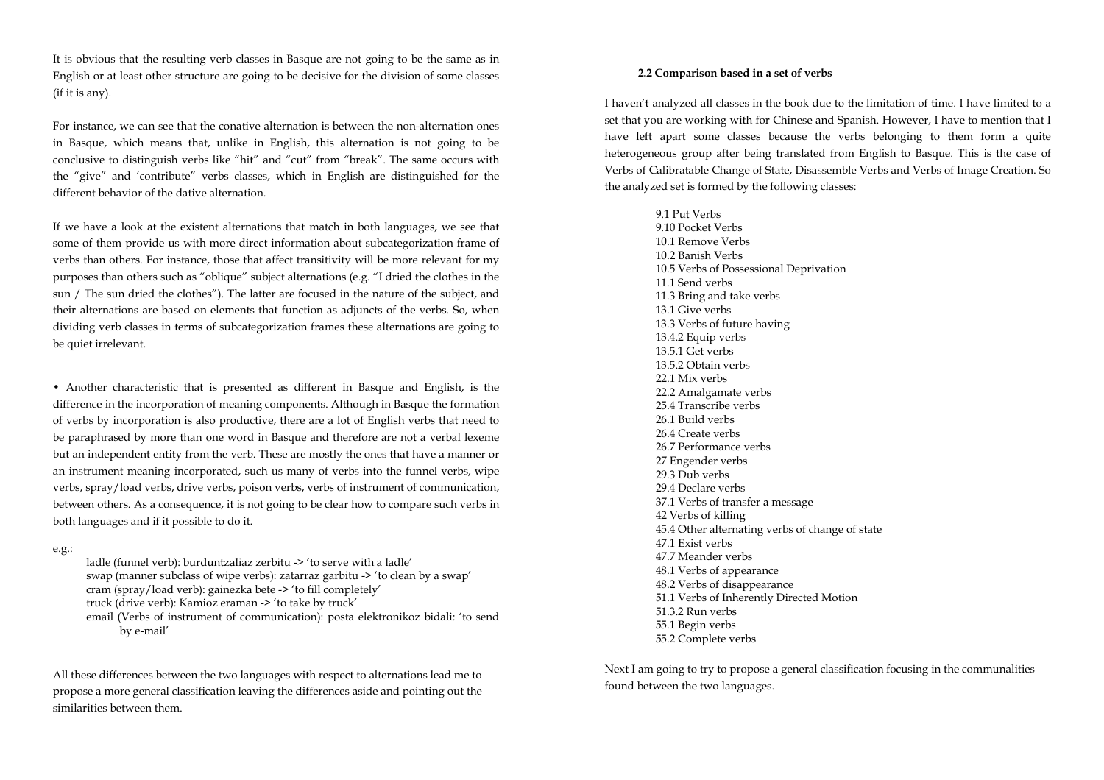It is obvious that the resulting verb classes in Basque are not going to be the same as in English or at least other structure are going to be decisive for the division of some classes (if it is any).

For instance, we can see that the conative alternation is between the non-alternation ones in Basque, which means that, unlike in English, this alternation is not going to be conclusive to distinguish verbs like "hit" and "cut" from "break". The same occurs with the "give" and 'contribute" verbs classes, which in English are distinguished for the different behavior of the dative alternation.

If we have a look at the existent alternations that match in both languages, we see that some of them provide us with more direct information about subcategorization frame of verbs than others. For instance, those that affect transitivity will be more relevant for my purposes than others such as "oblique" subject alternations (e.g. "I dried the clothes in the sun / The sun dried the clothes"). The latter are focused in the nature of the subject, and their alternations are based on elements that function as adjuncts of the verbs. So, when dividing verb classes in terms of subcategorization frames these alternations are going to be quiet irrelevant.

• Another characteristic that is presented as different in Basque and English, is the difference in the incorporation of meaning components. Although in Basque the formation of verbs by incorporation is also productive, there are a lot of English verbs that need to be paraphrased by more than one word in Basque and therefore are not a verbal lexeme but an independent entity from the verb. These are mostly the ones that have a manner or an instrument meaning incorporated, such us many of verbs into the funnel verbs, wipe verbs, spray/load verbs, drive verbs, poison verbs, verbs of instrument of communication, between others. As a consequence, it is not going to be clear how to compare such verbs in both languages and if it possible to do it.

e.g.:

ladle (funnel verb): burduntzaliaz zerbitu -> 'to serve with a ladle' swap (manner subclass of wipe verbs): zatarraz garbitu -> 'to clean by a swap' cram (spray/load verb): gainezka bete -> 'to fill completely' truck (drive verb): Kamioz eraman -> 'to take by truck' email (Verbs of instrument of communication): posta elektronikoz bidali: 'to send by e-mail'

All these differences between the two languages with respect to alternations lead me to propose a more general classification leaving the differences aside and pointing out the similarities between them.

## 2.2 Comparison based in a set of verbs

I haven't analyzed all classes in the book due to the limitation of time. I have limited to a set that you are working with for Chinese and Spanish. However, I have to mention that I have left apart some classes because the verbs belonging to them form a quite heterogeneous group after being translated from English to Basque. This is the case of Verbs of Calibratable Change of State, Disassemble Verbs and Verbs of Image Creation. So the analyzed set is formed by the following classes:

9.1 Put Verbs 9.10 Pocket Verbs 10.1 Remove Verbs 10.2 Banish Verbs 10.5 Verbs of Possessional Deprivation 11.1 Send verbs 11.3 Bring and take verbs 13.1 Give verbs 13.3 Verbs of future having 13.4.2 Equip verbs 13.5.1 Get verbs 13.5.2 Obtain verbs 22.1 Mix verbs 22.2 Amalgamate verbs 25.4 Transcribe verbs 26.1 Build verbs 26.4 Create verbs 26.7 Performance verbs 27 Engender verbs 29.3 Dub verbs 29.4 Declare verbs 37.1 Verbs of transfer a message 42 Verbs of killing 45.4 Other alternating verbs of change of state 47.1 Exist verbs 47.7 Meander verbs 48.1 Verbs of appearance 48.2 Verbs of disappearance 51.1 Verbs of Inherently Directed Motion 51.3.2 Run verbs 55.1 Begin verbs 55.2 Complete verbs

Next I am going to try to propose a general classification focusing in the communalities found between the two languages.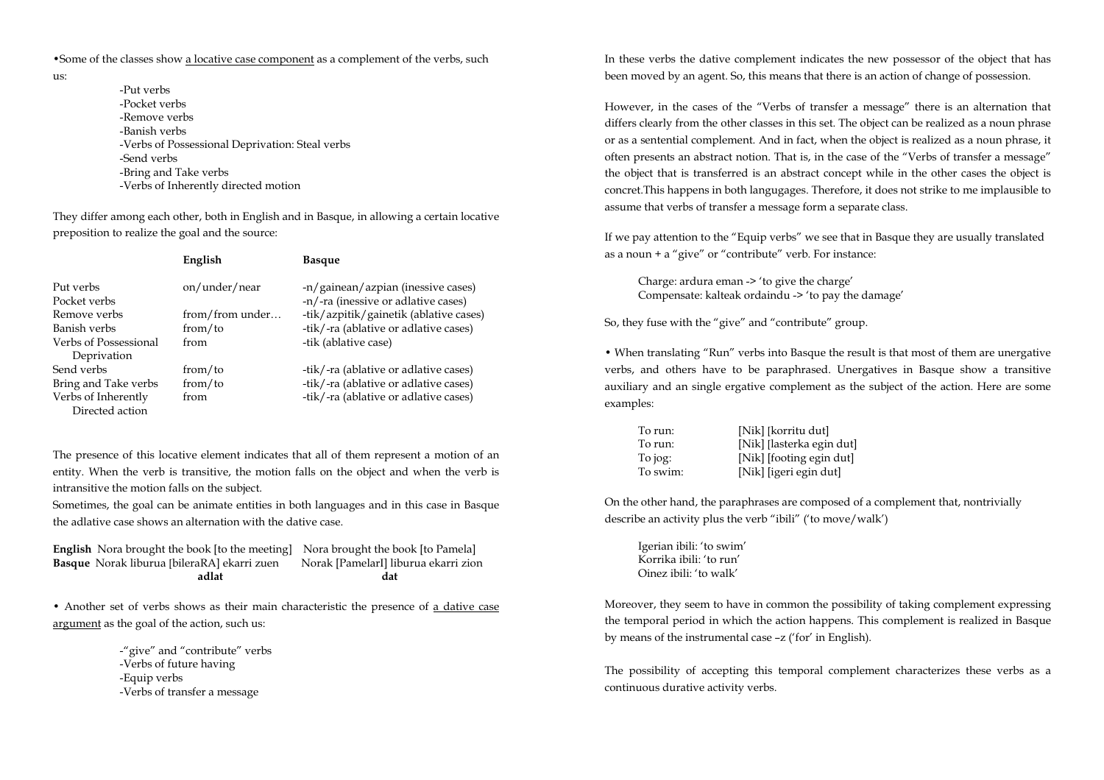•Some of the classes show a locative case component as a complement of the verbs, such

us:

-Put verbs -Pocket verbs -Remove verbs -Banish verbs -Verbs of Possessional Deprivation: Steal verbs -Send verbs -Bring and Take verbs -Verbs of Inherently directed motion

They differ among each other, both in English and in Basque, in allowing a certain locative preposition to realize the goal and the source:

|                                        | English         | <b>Basque</b>                                                             |
|----------------------------------------|-----------------|---------------------------------------------------------------------------|
| Put verbs<br>Pocket verbs              | on/under/near   | -n/gainean/azpian (inessive cases)<br>-n/-ra (inessive or adlative cases) |
| Remove verbs                           | from/from under | -tik/azpitik/gainetik (ablative cases)                                    |
| Banish verbs                           | from/to         | -tik/-ra (ablative or adlative cases)                                     |
| Verbs of Possessional<br>Deprivation   | from            | -tik (ablative case)                                                      |
| Send verbs                             | from/to         | -tik/-ra (ablative or adlative cases)                                     |
| Bring and Take verbs                   | from/to         | -tik/-ra (ablative or adlative cases)                                     |
| Verbs of Inherently<br>Directed action | from            | -tik/-ra (ablative or adlative cases)                                     |

The presence of this locative element indicates that all of them represent a motion of an entity. When the verb is transitive, the motion falls on the object and when the verb is intransitive the motion falls on the subject.

Sometimes, the goal can be animate entities in both languages and in this case in Basque the adlative case shows an alternation with the dative case.

| adlat                                                                                   | dat                                  |
|-----------------------------------------------------------------------------------------|--------------------------------------|
| <b>Basque</b> Norak liburua [bileraRA] ekarri zuen                                      | Norak [PamelarI] liburua ekarri zion |
| <b>English</b> Nora brought the book [to the meeting] Nora brought the book [to Pamela] |                                      |

• Another set of verbs shows as their main characteristic the presence of a dative case argument as the goal of the action, such us:

> -"give" and "contribute" verbs -Verbs of future having -Equip verbs -Verbs of transfer a message

In these verbs the dative complement indicates the new possessor of the object that has been moved by an agent. So, this means that there is an action of change of possession.

However, in the cases of the "Verbs of transfer a message" there is an alternation that differs clearly from the other classes in this set. The object can be realized as a noun phrase or as a sentential complement. And in fact, when the object is realized as a noun phrase, it often presents an abstract notion. That is, in the case of the "Verbs of transfer a message" the object that is transferred is an abstract concept while in the other cases the object is concret.This happens in both langugages. Therefore, it does not strike to me implausible to assume that verbs of transfer a message form a separate class.

If we pay attention to the "Equip verbs" we see that in Basque they are usually translated as a noun + a "give" or "contribute" verb. For instance:

 Charge: ardura eman -> 'to give the charge' Compensate: kalteak ordaindu -> 'to pay the damage'

So, they fuse with the "give" and "contribute" group.

• When translating "Run" verbs into Basque the result is that most of them are unergative verbs, and others have to be paraphrased. Unergatives in Basque show a transitive auxiliary and an single ergative complement as the subject of the action. Here are some examples:

| To run:  | [Nik] [korritu dut]       |
|----------|---------------------------|
| To run:  | [Nik] [lasterka egin dut] |
| To jog:  | [Nik] [footing egin dut]  |
| To swim: | [Nik] [igeri egin dut]    |

On the other hand, the paraphrases are composed of a complement that, nontrivially describe an activity plus the verb "ibili" ('to move/walk')

 Igerian ibili: 'to swim' Korrika ibili: 'to run' Oinez ibili: 'to walk'

Moreover, they seem to have in common the possibility of taking complement expressing the temporal period in which the action happens. This complement is realized in Basque by means of the instrumental case –z ('for' in English).

The possibility of accepting this temporal complement characterizes these verbs as a continuous durative activity verbs.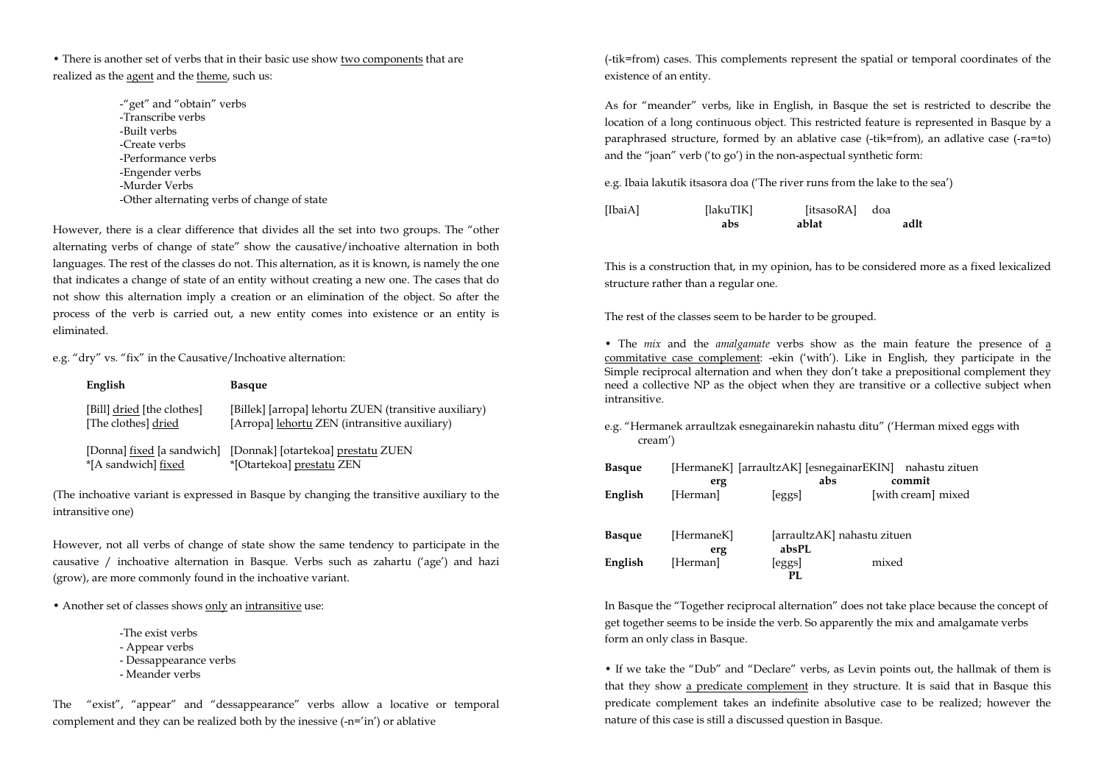• There is another set of verbs that in their basic use show two components that are realized as the agent and the theme, such us:

> -"get" and "obtain" verbs -Transcribe verbs -Built verbs -Create verbs -Performance verbs -Engender verbs -Murder Verbs -Other alternating verbs of change of state

However, there is a clear difference that divides all the set into two groups. The "other alternating verbs of change of state" show the causative/inchoative alternation in both languages. The rest of the classes do not. This alternation, as it is known, is namely the one that indicates a change of state of an entity without creating a new one. The cases that do not show this alternation imply a creation or an elimination of the object. So after the process of the verb is carried out, a new entity comes into existence or an entity is eliminated.

e.g. "dry" vs. "fix" in the Causative/Inchoative alternation:

| English                                           | <b>Basque</b>                                                                                          |
|---------------------------------------------------|--------------------------------------------------------------------------------------------------------|
| [Bill] dried [the clothes]<br>[The clothes] dried | [Billek] [arropa] lehortu ZUEN (transitive auxiliary)<br>[Arropa] lehortu ZEN (intransitive auxiliary) |
| [Donna] fixed [a sandwich]<br>*[A sandwich] fixed | [Donnak] [otartekoa] prestatu ZUEN<br>*[Otartekoa] prestatu ZEN                                        |

(The inchoative variant is expressed in Basque by changing the transitive auxiliary to the intransitive one)

However, not all verbs of change of state show the same tendency to participate in the causative / inchoative alternation in Basque. Verbs such as zahartu ('age') and hazi (grow), are more commonly found in the inchoative variant.

• Another set of classes shows only an intransitive use:

-The exist verbs

- Appear verbs

- Dessappearance verbs

- Meander verbs

The "exist", "appear" and "dessappearance" verbs allow a locative or temporal complement and they can be realized both by the inessive (-n='in') or ablative

(-tik=from) cases. This complements represent the spatial or temporal coordinates of the existence of an entity.

As for "meander" verbs, like in English, in Basque the set is restricted to describe the location of a long continuous object. This restricted feature is represented in Basque by a paraphrased structure, formed by an ablative case (-tik=from), an adlative case (-ra=to) and the "joan" verb ('to go') in the non-aspectual synthetic form:

e.g. Ibaia lakutik itsasora doa ('The river runs from the lake to the sea')

[IbaiA] [lakuTIK] [itsasoRA] doa abs ablat adlt

This is a construction that, in my opinion, has to be considered more as a fixed lexicalized structure rather than a regular one.

The rest of the classes seem to be harder to be grouped.

• The mix and the amalgamate verbs show as the main feature the presence of a commitative case complement: -ekin ('with'). Like in English, they participate in the Simple reciprocal alternation and when they don't take a prepositional complement they need a collective NP as the object when they are transitive or a collective subject when intransitive.

e.g. "Hermanek arraultzak esnegainarekin nahastu ditu" ('Herman mixed eggs with cream')

| <b>Basque</b> |            |                             | [HermaneK] [arraultzAK] [esnegainarEKIN] nahastu zituen |
|---------------|------------|-----------------------------|---------------------------------------------------------|
|               | erg        | abs                         | commit                                                  |
| English       | [Herman]   | [eggs]                      | [with cream] mixed                                      |
| <b>Basque</b> | [HermaneK] | [arraultzAK] nahastu zituen |                                                         |
|               | erg        | absPL                       |                                                         |
| English       | [Herman]   | [eggs]                      | mixed                                                   |
|               |            | PL.                         |                                                         |

In Basque the "Together reciprocal alternation" does not take place because the concept of get together seems to be inside the verb. So apparently the mix and amalgamate verbs form an only class in Basque.

• If we take the "Dub" and "Declare" verbs, as Levin points out, the hallmak of them is that they show a predicate complement in they structure. It is said that in Basque this predicate complement takes an indefinite absolutive case to be realized; however the nature of this case is still a discussed question in Basque.